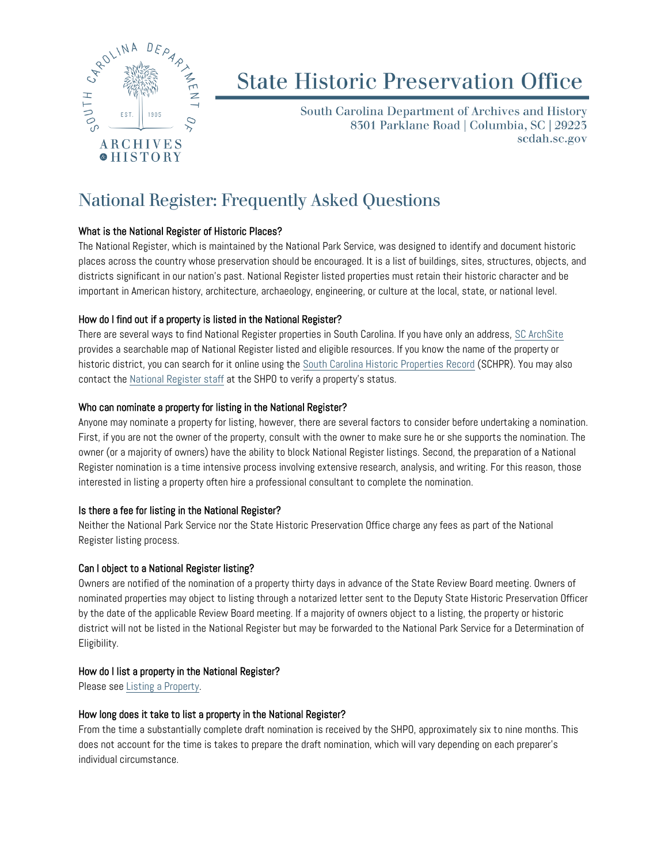

# **State Historic Preservation Office**

South Carolina Department of Archives and History 8301 Parklane Road | Columbia, SC | 29223 scdah.sc.gov

# National Register: Frequently Asked Questions

#### What is the National Register of Historic Places?

The National Register, which is maintained by the National Park Service, was designed to identify and document historic places across the country whose preservation should be encouraged. It is a list of buildings, sites, structures, objects, and districts significant in our nation's past. National Register listed properties must retain their historic character and be important in American history, architecture, archaeology, engineering, or culture at the local, state, or national level.

## How do I find out if a property is listed in the National Register?

There are several ways to find National Register properties in South Carolina. If you have only an address, [SC ArchSite](http://www.scarchsite.org/) provides a searchable map of National Register listed and eligible resources. If you know the name of the property or historic district, you can search for it online using the [South Carolina Historic Properties Record](http://schpr.sc.gov/) (SCHPR). You may also contact the [National Register staff](https://scdah.sc.gov/about-us/staff-directory) at the SHPO to verify a property's status.

#### Who can nominate a property for listing in the National Register?

Anyone may nominate a property for listing, however, there are several factors to consider before undertaking a nomination. First, if you are not the owner of the property, consult with the owner to make sure he or she supports the nomination. The owner (or a majority of owners) have the ability to block National Register listings. Second, the preparation of a National Register nomination is a time intensive process involving extensive research, analysis, and writing. For this reason, those interested in listing a property often hire a professional consultant to complete the nomination.

#### Is there a fee for listing in the National Register?

Neither the National Park Service nor the State Historic Preservation Office charge any fees as part of the National Register listing process.

#### Can I object to a National Register listing?

Owners are notified of the nomination of a property thirty days in advance of the State Review Board meeting. Owners of nominated properties may object to listing through a notarized letter sent to the Deputy State Historic Preservation Officer by the date of the applicable Review Board meeting. If a majority of owners object to a listing, the property or historic district will not be listed in the National Register but may be forwarded to the National Park Service for a Determination of Eligibility.

#### How do I list a property in the National Register?

Please see [Listing a Property.](https://scdah.sc.gov/historic-preservation/programs/national-register/listing-property) 

#### How long does it take to list a property in the National Register?

From the time a substantially complete draft nomination is received by the SHPO, approximately six to nine months. This does not account for the time is takes to prepare the draft nomination, which will vary depending on each preparer's individual circumstance.